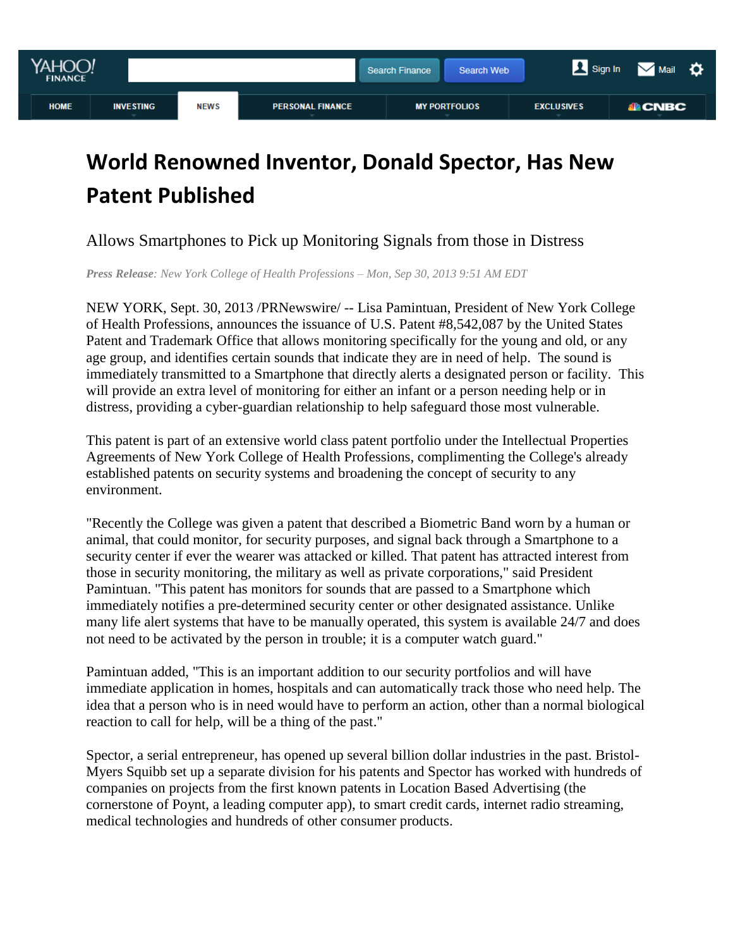

# **World Renowned Inventor, Donald Spector, Has New Patent Published**

## Allows Smartphones to Pick up Monitoring Signals from those in Distress

*Press Release: New York College of Health Professions – Mon, Sep 30, 2013 9:51 AM EDT*

NEW YORK, Sept. 30, 2013 /PRNewswire/ -- Lisa Pamintuan, President of New York College of Health Professions, announces the issuance of U.S. Patent #8,542,087 by the United States Patent and Trademark Office that allows monitoring specifically for the young and old, or any age group, and identifies certain sounds that indicate they are in need of help. The sound is immediately transmitted to a Smartphone that directly alerts a designated person or facility. This will provide an extra level of monitoring for either an infant or a person needing help or in distress, providing a cyber-guardian relationship to help safeguard those most vulnerable.

This patent is part of an extensive world class patent portfolio under the Intellectual Properties Agreements of New York College of Health Professions, complimenting the College's already established patents on security systems and broadening the concept of security to any environment.

"Recently the College was given a patent that described a Biometric Band worn by a human or animal, that could monitor, for security purposes, and signal back through a Smartphone to a security center if ever the wearer was attacked or killed. That patent has attracted interest from those in security monitoring, the military as well as private corporations," said President Pamintuan. "This patent has monitors for sounds that are passed to a Smartphone which immediately notifies a pre-determined security center or other designated assistance. Unlike many life alert systems that have to be manually operated, this system is available 24/7 and does not need to be activated by the person in trouble; it is a computer watch guard."

Pamintuan added, "This is an important addition to our security portfolios and will have immediate application in homes, hospitals and can automatically track those who need help. The idea that a person who is in need would have to perform an action, other than a normal biological reaction to call for help, will be a thing of the past."

Spector, a serial entrepreneur, has opened up several billion dollar industries in the past. Bristol-Myers Squibb set up a separate division for his patents and Spector has worked with hundreds of companies on projects from the first known patents in Location Based Advertising (the cornerstone of Poynt, a leading computer app), to smart credit cards, internet radio streaming, medical technologies and hundreds of other consumer products.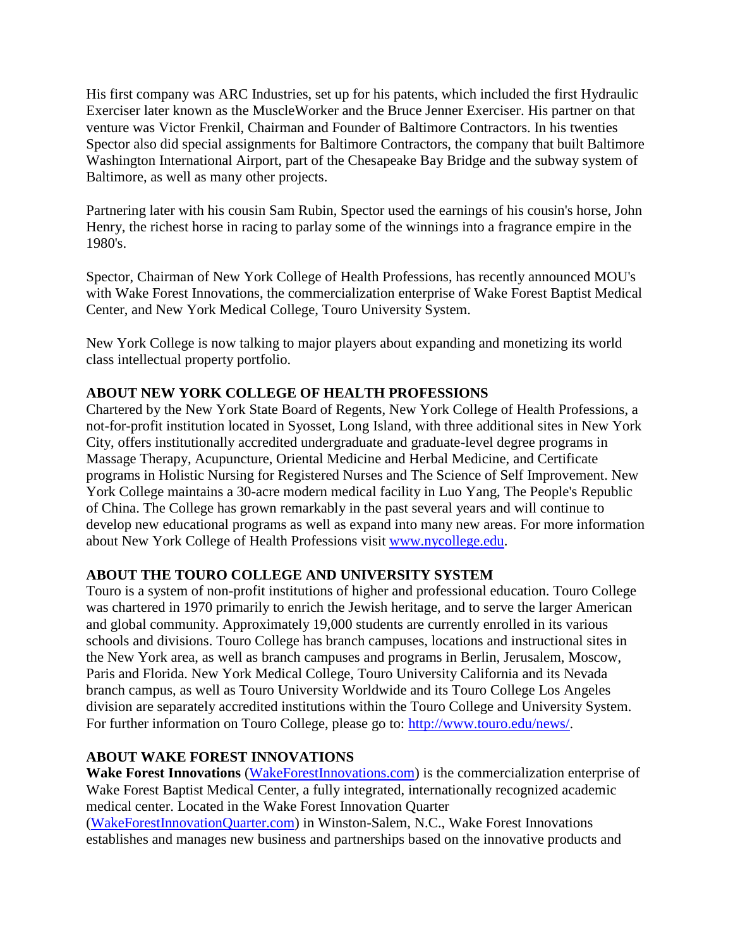His first company was ARC Industries, set up for his patents, which included the first Hydraulic Exerciser later known as the MuscleWorker and the Bruce Jenner Exerciser. His partner on that venture was Victor Frenkil, Chairman and Founder of Baltimore Contractors. In his twenties Spector also did special assignments for Baltimore Contractors, the company that built Baltimore Washington International Airport, part of the Chesapeake Bay Bridge and the subway system of Baltimore, as well as many other projects.

Partnering later with his cousin Sam Rubin, Spector used the earnings of his cousin's horse, John Henry, the richest horse in racing to parlay some of the winnings into a fragrance empire in the 1980's.

Spector, Chairman of New York College of Health Professions, has recently announced MOU's with Wake Forest Innovations, the commercialization enterprise of Wake Forest Baptist Medical Center, and New York Medical College, Touro University System.

New York College is now talking to major players about expanding and monetizing its world class intellectual property portfolio.

#### **ABOUT NEW YORK COLLEGE OF HEALTH PROFESSIONS**

Chartered by the New York State Board of Regents, New York College of Health Professions, a not-for-profit institution located in Syosset, Long Island, with three additional sites in New York City, offers institutionally accredited undergraduate and graduate-level degree programs in Massage Therapy, Acupuncture, Oriental Medicine and Herbal Medicine, and Certificate programs in Holistic Nursing for Registered Nurses and The Science of Self Improvement. New York College maintains a 30-acre modern medical facility in Luo Yang, The People's Republic of China. The College has grown remarkably in the past several years and will continue to develop new educational programs as well as expand into many new areas. For more information about New York College of Health Professions visit [www.nycollege.edu.](http://www.nycollege.edu/)

#### **ABOUT THE TOURO COLLEGE AND UNIVERSITY SYSTEM**

Touro is a system of non-profit institutions of higher and professional education. Touro College was chartered in 1970 primarily to enrich the Jewish heritage, and to serve the larger American and global community. Approximately 19,000 students are currently enrolled in its various schools and divisions. Touro College has branch campuses, locations and instructional sites in the New York area, as well as branch campuses and programs in Berlin, Jerusalem, Moscow, Paris and Florida. New York Medical College, Touro University California and its Nevada branch campus, as well as Touro University Worldwide and its Touro College Los Angeles division are separately accredited institutions within the Touro College and University System. For further information on Touro College, please go to: [http://www.touro.edu/news/.](http://www.touro.edu/news/)

## **ABOUT WAKE FOREST INNOVATIONS**

**Wake Forest Innovations** [\(WakeForestInnovations.com\)](http://www.wakeforestinnovations.com/) is the commercialization enterprise of Wake Forest Baptist Medical Center, a fully integrated, internationally recognized academic medical center. Located in the Wake Forest Innovation Quarter [\(WakeForestInnovationQuarter.com\)](http://wakeforestinnovationquarter.com/) in Winston-Salem, N.C., Wake Forest Innovations establishes and manages new business and partnerships based on the innovative products and